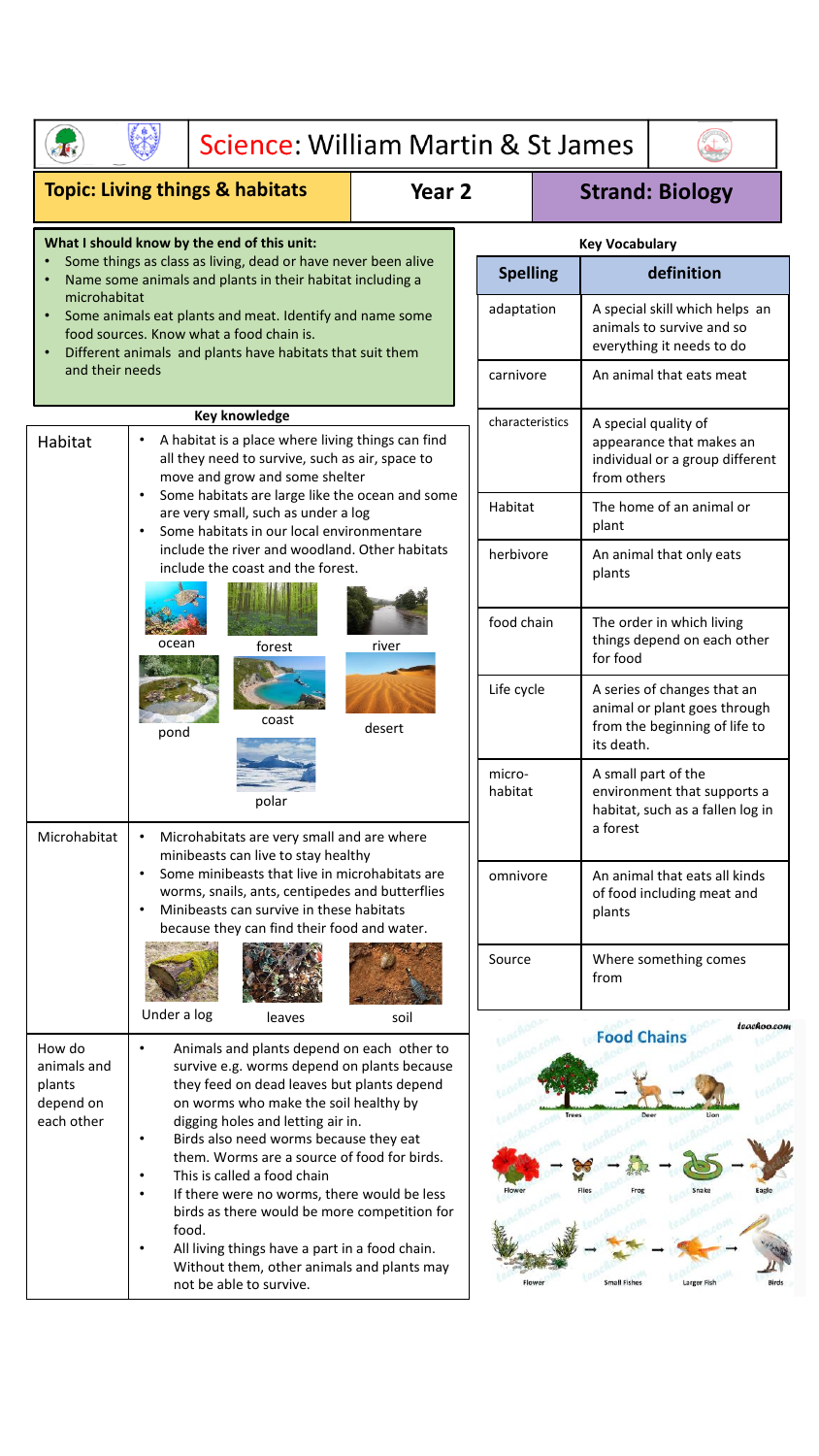| Science: William Martin & St James                                                                                                                                                                                                                                                                                                 |                                                                                                                                                                                                                                                  |                                                                                                                                                                                                                                                                                                                                                                                                                                                                                                                                                                                   |            |                                                                                                                                                                           |                                                                                                            |                                                                                                        |                                                                                        |
|------------------------------------------------------------------------------------------------------------------------------------------------------------------------------------------------------------------------------------------------------------------------------------------------------------------------------------|--------------------------------------------------------------------------------------------------------------------------------------------------------------------------------------------------------------------------------------------------|-----------------------------------------------------------------------------------------------------------------------------------------------------------------------------------------------------------------------------------------------------------------------------------------------------------------------------------------------------------------------------------------------------------------------------------------------------------------------------------------------------------------------------------------------------------------------------------|------------|---------------------------------------------------------------------------------------------------------------------------------------------------------------------------|------------------------------------------------------------------------------------------------------------|--------------------------------------------------------------------------------------------------------|----------------------------------------------------------------------------------------|
| <b>Topic: Living things &amp; habitats</b><br>Year <sub>2</sub><br><b>Strand: Biology</b>                                                                                                                                                                                                                                          |                                                                                                                                                                                                                                                  |                                                                                                                                                                                                                                                                                                                                                                                                                                                                                                                                                                                   |            |                                                                                                                                                                           |                                                                                                            |                                                                                                        |                                                                                        |
|                                                                                                                                                                                                                                                                                                                                    |                                                                                                                                                                                                                                                  | What I should know by the end of this unit:                                                                                                                                                                                                                                                                                                                                                                                                                                                                                                                                       |            |                                                                                                                                                                           |                                                                                                            | <b>Key Vocabulary</b>                                                                                  |                                                                                        |
| Some things as class as living, dead or have never been alive<br>Name some animals and plants in their habitat including a<br>microhabitat<br>Some animals eat plants and meat. Identify and name some<br>food sources. Know what a food chain is.<br>Different animals and plants have habitats that suit them<br>and their needs |                                                                                                                                                                                                                                                  |                                                                                                                                                                                                                                                                                                                                                                                                                                                                                                                                                                                   |            | <b>Spelling</b><br>adaptation                                                                                                                                             |                                                                                                            | definition<br>A special skill which helps an<br>animals to survive and so<br>everything it needs to do |                                                                                        |
|                                                                                                                                                                                                                                                                                                                                    |                                                                                                                                                                                                                                                  |                                                                                                                                                                                                                                                                                                                                                                                                                                                                                                                                                                                   |            |                                                                                                                                                                           |                                                                                                            |                                                                                                        |                                                                                        |
|                                                                                                                                                                                                                                                                                                                                    |                                                                                                                                                                                                                                                  |                                                                                                                                                                                                                                                                                                                                                                                                                                                                                                                                                                                   |            | <b>Key knowledge</b><br>A habitat is a place where living things can find<br>Habitat<br>all they need to survive, such as air, space to<br>move and grow and some shelter |                                                                                                            |                                                                                                        |                                                                                        |
|                                                                                                                                                                                                                                                                                                                                    | Some habitats are large like the ocean and some<br>are very small, such as under a log<br>Some habitats in our local environmentare<br>include the river and woodland. Other habitats<br>include the coast and the forest.                       |                                                                                                                                                                                                                                                                                                                                                                                                                                                                                                                                                                                   |            | Habitat<br>The home of an animal or<br>plant                                                                                                                              |                                                                                                            |                                                                                                        |                                                                                        |
|                                                                                                                                                                                                                                                                                                                                    |                                                                                                                                                                                                                                                  |                                                                                                                                                                                                                                                                                                                                                                                                                                                                                                                                                                                   |            | herbivore<br>An animal that only eats<br>plants                                                                                                                           |                                                                                                            |                                                                                                        |                                                                                        |
|                                                                                                                                                                                                                                                                                                                                    | ocean<br>river<br>forest<br>coast<br>desert<br>pond                                                                                                                                                                                              |                                                                                                                                                                                                                                                                                                                                                                                                                                                                                                                                                                                   |            |                                                                                                                                                                           | food chain                                                                                                 | The order in which living<br>things depend on each other<br>for food                                   |                                                                                        |
|                                                                                                                                                                                                                                                                                                                                    |                                                                                                                                                                                                                                                  |                                                                                                                                                                                                                                                                                                                                                                                                                                                                                                                                                                                   | Life cycle |                                                                                                                                                                           | A series of changes that an<br>animal or plant goes through<br>from the beginning of life to<br>its death. |                                                                                                        |                                                                                        |
| Microhabitat                                                                                                                                                                                                                                                                                                                       | polar<br>Microhabitats are very small and are where                                                                                                                                                                                              |                                                                                                                                                                                                                                                                                                                                                                                                                                                                                                                                                                                   |            |                                                                                                                                                                           | micro-<br>habitat                                                                                          | a forest                                                                                               | A small part of the<br>environment that supports a<br>habitat, such as a fallen log in |
|                                                                                                                                                                                                                                                                                                                                    | minibeasts can live to stay healthy<br>Some minibeasts that live in microhabitats are<br>$\bullet$<br>worms, snails, ants, centipedes and butterflies<br>Minibeasts can survive in these habitats<br>because they can find their food and water. |                                                                                                                                                                                                                                                                                                                                                                                                                                                                                                                                                                                   |            | omnivore<br>An animal that eats all kinds<br>of food including meat and<br>plants                                                                                         |                                                                                                            |                                                                                                        |                                                                                        |
|                                                                                                                                                                                                                                                                                                                                    |                                                                                                                                                                                                                                                  |                                                                                                                                                                                                                                                                                                                                                                                                                                                                                                                                                                                   |            | Source                                                                                                                                                                    |                                                                                                            | from                                                                                                   | Where something comes                                                                  |
| How do<br>animals and<br>plants<br>depend on<br>each other                                                                                                                                                                                                                                                                         | Under a log<br>$\bullet$<br>$\bullet$<br>$\bullet$<br>food.                                                                                                                                                                                      | leaves<br>Animals and plants depend on each other to<br>survive e.g. worms depend on plants because<br>they feed on dead leaves but plants depend<br>on worms who make the soil healthy by<br>digging holes and letting air in.<br>Birds also need worms because they eat<br>them. Worms are a source of food for birds.<br>This is called a food chain<br>If there were no worms, there would be less<br>birds as there would be more competition for<br>All living things have a part in a food chain.<br>Without them, other animals and plants may<br>not be able to survive. | soil       |                                                                                                                                                                           |                                                                                                            | <b>Food Chains</b><br><b>Small Fishe</b>                                                               | teachoo.com<br>Lion                                                                    |